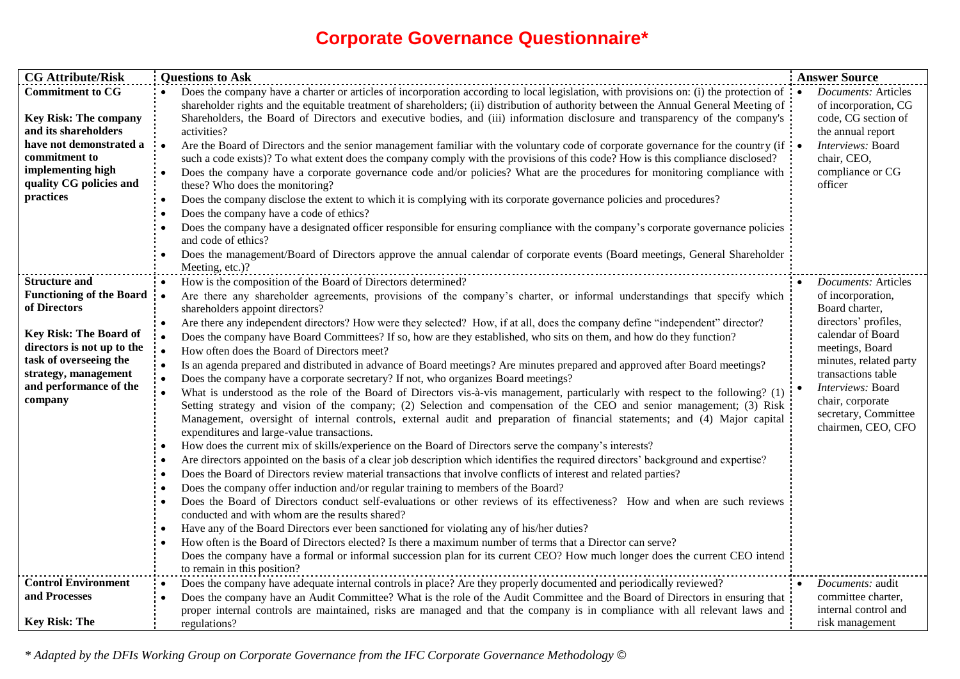## **Corporate Governance Questionnaire\***

| <b>CG Attribute/Risk</b>                                                                                                                                                                                                      | <b>Questions to Ask</b>                                                                                                                                                                                                                                                                                                                                                                                                                                                                                                                                                                                                                                                                                                                                                                                                                                                                                                                                                                                                                                                                                                                                                                                                                                                                                                                                                                                                                                                                                                                                                                                                                                                                                                                                                                                                                                                                                                                                                                       | <b>Answer Source</b>                                                                                                                                                                                                                                                |
|-------------------------------------------------------------------------------------------------------------------------------------------------------------------------------------------------------------------------------|-----------------------------------------------------------------------------------------------------------------------------------------------------------------------------------------------------------------------------------------------------------------------------------------------------------------------------------------------------------------------------------------------------------------------------------------------------------------------------------------------------------------------------------------------------------------------------------------------------------------------------------------------------------------------------------------------------------------------------------------------------------------------------------------------------------------------------------------------------------------------------------------------------------------------------------------------------------------------------------------------------------------------------------------------------------------------------------------------------------------------------------------------------------------------------------------------------------------------------------------------------------------------------------------------------------------------------------------------------------------------------------------------------------------------------------------------------------------------------------------------------------------------------------------------------------------------------------------------------------------------------------------------------------------------------------------------------------------------------------------------------------------------------------------------------------------------------------------------------------------------------------------------------------------------------------------------------------------------------------------------|---------------------------------------------------------------------------------------------------------------------------------------------------------------------------------------------------------------------------------------------------------------------|
| <b>Commitment to CG</b><br><b>Key Risk: The company</b><br>and its shareholders<br>have not demonstrated a<br>commitment to<br>implementing high<br>quality CG policies and<br>practices                                      | Does the company have a charter or articles of incorporation according to local legislation, with provisions on: (i) the protection of $\cdot$<br>shareholder rights and the equitable treatment of shareholders; (ii) distribution of authority between the Annual General Meeting of<br>Shareholders, the Board of Directors and executive bodies, and (iii) information disclosure and transparency of the company's<br>activities?<br>Are the Board of Directors and the senior management familiar with the voluntary code of corporate governance for the country (if $\cdot$<br>such a code exists)? To what extent does the company comply with the provisions of this code? How is this compliance disclosed?<br>Does the company have a corporate governance code and/or policies? What are the procedures for monitoring compliance with<br>these? Who does the monitoring?<br>Does the company disclose the extent to which it is complying with its corporate governance policies and procedures?<br>$\bullet$<br>Does the company have a code of ethics?<br>$\bullet$<br>Does the company have a designated officer responsible for ensuring compliance with the company's corporate governance policies<br>and code of ethics?                                                                                                                                                                                                                                                                                                                                                                                                                                                                                                                                                                                                                                                                                                                                                 | <b>Documents: Articles</b><br>of incorporation, CG<br>code, CG section of<br>the annual report<br>Interviews: Board<br>chair, CEO,<br>compliance or CG<br>officer                                                                                                   |
|                                                                                                                                                                                                                               | Does the management/Board of Directors approve the annual calendar of corporate events (Board meetings, General Shareholder                                                                                                                                                                                                                                                                                                                                                                                                                                                                                                                                                                                                                                                                                                                                                                                                                                                                                                                                                                                                                                                                                                                                                                                                                                                                                                                                                                                                                                                                                                                                                                                                                                                                                                                                                                                                                                                                   |                                                                                                                                                                                                                                                                     |
| <b>Structure and</b><br><b>Functioning of the Board</b><br>of Directors<br><b>Key Risk: The Board of</b><br>directors is not up to the<br>task of overseeing the<br>strategy, management<br>and performance of the<br>company | Meeting, etc.)?<br>How is the composition of the Board of Directors determined?<br>Are there any shareholder agreements, provisions of the company's charter, or informal understandings that specify which<br>shareholders appoint directors?<br>Are there any independent directors? How were they selected? How, if at all, does the company define "independent" director?<br>Does the company have Board Committees? If so, how are they established, who sits on them, and how do they function?<br>How often does the Board of Directors meet?<br>Is an agenda prepared and distributed in advance of Board meetings? Are minutes prepared and approved after Board meetings?<br>Does the company have a corporate secretary? If not, who organizes Board meetings?<br>What is understood as the role of the Board of Directors vis-à-vis management, particularly with respect to the following? (1)<br>Setting strategy and vision of the company; (2) Selection and compensation of the CEO and senior management; (3) Risk<br>Management, oversight of internal controls, external audit and preparation of financial statements; and (4) Major capital<br>expenditures and large-value transactions.<br>How does the current mix of skills/experience on the Board of Directors serve the company's interests?<br>Are directors appointed on the basis of a clear job description which identifies the required directors' background and expertise?<br>Does the Board of Directors review material transactions that involve conflicts of interest and related parties?<br>$\bullet$<br>Does the company offer induction and/or regular training to members of the Board?<br>$\bullet$<br>Does the Board of Directors conduct self-evaluations or other reviews of its effectiveness? How and when are such reviews<br>$\bullet$<br>conducted and with whom are the results shared?<br>Have any of the Board Directors ever been sanctioned for violating any of his/her duties? | • Documents: Articles<br>of incorporation,<br>Board charter,<br>directors' profiles,<br>calendar of Board<br>meetings, Board<br>minutes, related party<br>transactions table<br>Interviews: Board<br>chair, corporate<br>secretary, Committee<br>chairmen, CEO, CFO |
|                                                                                                                                                                                                                               | How often is the Board of Directors elected? Is there a maximum number of terms that a Director can serve?<br>Does the company have a formal or informal succession plan for its current CEO? How much longer does the current CEO intend                                                                                                                                                                                                                                                                                                                                                                                                                                                                                                                                                                                                                                                                                                                                                                                                                                                                                                                                                                                                                                                                                                                                                                                                                                                                                                                                                                                                                                                                                                                                                                                                                                                                                                                                                     |                                                                                                                                                                                                                                                                     |
| <b>Control Environment</b><br>and Processes<br><b>Key Risk: The</b>                                                                                                                                                           | to remain in this position?<br>Does the company have adequate internal controls in place? Are they properly documented and periodically reviewed?<br>$\bullet$<br>Does the company have an Audit Committee? What is the role of the Audit Committee and the Board of Directors in ensuring that<br>proper internal controls are maintained, risks are managed and that the company is in compliance with all relevant laws and<br>regulations?                                                                                                                                                                                                                                                                                                                                                                                                                                                                                                                                                                                                                                                                                                                                                                                                                                                                                                                                                                                                                                                                                                                                                                                                                                                                                                                                                                                                                                                                                                                                                | <i>Documents:</i> audit<br>committee charter,<br>internal control and<br>risk management                                                                                                                                                                            |

*\* Adapted by the DFIs Working Group on Corporate Governance from the IFC Corporate Governance Methodology ©*